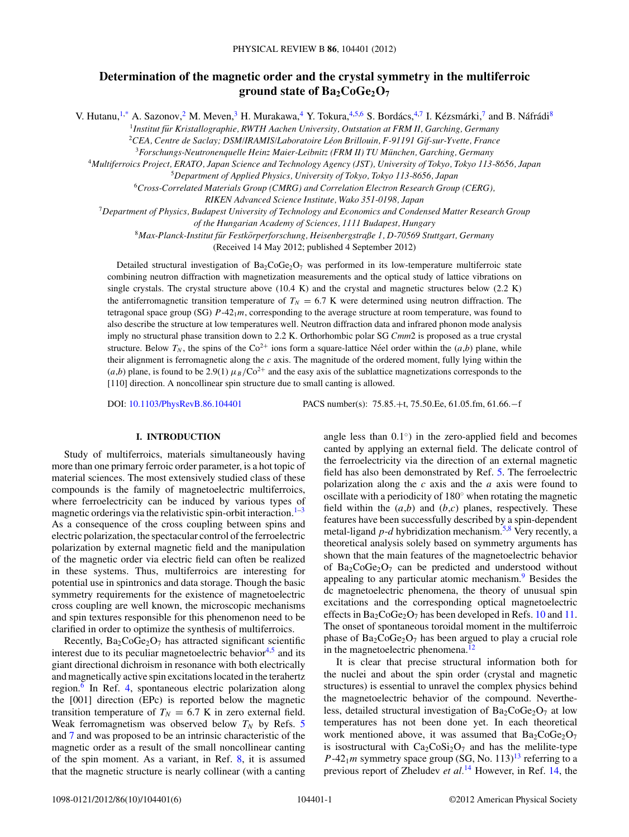# **Determination of the magnetic order and the crystal symmetry in the multiferroic ground state of Ba2CoGe2O7**

V. Hutanu,<sup>1[,\\*](#page-5-0)</sup> A. Sazonov,<sup>2</sup> M. Meven,<sup>3</sup> H. Murakawa,<sup>4</sup> Y. Tokura,<sup>4,5,6</sup> S. Bordács,<sup>4,7</sup> I. Kézsmárki,<sup>7</sup> and B. Náfrádi<sup>8</sup>

<sup>1</sup>*Institut fur Kristallographie, RWTH Aachen University, Outstation at FRM II, Garching, Germany ¨*

<sup>2</sup>*CEA, Centre de Saclay; DSM/IRAMIS/Laboratoire Leon Brillouin, F-91191 Gif-sur-Yvette, France ´*

<sup>3</sup>*Forschungs-Neutronenquelle Heinz Maier-Leibnitz (FRM II) TU Munchen, Garching, Germany ¨*

<sup>4</sup>*Multiferroics Project, ERATO, Japan Science and Technology Agency (JST), University of Tokyo, Tokyo 113-8656, Japan*

<sup>5</sup>*Department of Applied Physics, University of Tokyo, Tokyo 113-8656, Japan*

<sup>6</sup>*Cross-Correlated Materials Group (CMRG) and Correlation Electron Research Group (CERG),*

*RIKEN Advanced Science Institute, Wako 351-0198, Japan*

<sup>7</sup>*Department of Physics, Budapest University of Technology and Economics and Condensed Matter Research Group*

*of the Hungarian Academy of Sciences, 1111 Budapest, Hungary*

<sup>8</sup>*Max-Planck-Institut fur Festk ¨ orperforschung, Heisenbergstraße 1, D-70569 Stuttgart, Germany ¨*

(Received 14 May 2012; published 4 September 2012)

Detailed structural investigation of  $Ba_2CoGe_2O_7$  was performed in its low-temperature multiferroic state combining neutron diffraction with magnetization measurements and the optical study of lattice vibrations on single crystals. The crystal structure above (10.4 K) and the crystal and magnetic structures below (2.2 K) the antiferromagnetic transition temperature of  $T_N = 6.7$  K were determined using neutron diffraction. The tetragonal space group (SG)  $P-42<sub>1</sub>m$ , corresponding to the average structure at room temperature, was found to also describe the structure at low temperatures well. Neutron diffraction data and infrared phonon mode analysis imply no structural phase transition down to 2.2 K. Orthorhombic polar SG *Cmm*2 is proposed as a true crystal structure. Below  $T_N$ , the spins of the Co<sup>2+</sup> ions form a square-lattice Néel order within the  $(a,b)$  plane, while their alignment is ferromagnetic along the *c* axis. The magnitude of the ordered moment, fully lying within the  $(a,b)$  plane, is found to be 2.9(1)  $\mu_B/Co^{2+}$  and the easy axis of the sublattice magnetizations corresponds to the [110] direction. A noncollinear spin structure due to small canting is allowed.

DOI: [10.1103/PhysRevB.86.104401](http://dx.doi.org/10.1103/PhysRevB.86.104401) PACS number(s): 75*.*85*.*+t, 75*.*50*.*Ee, 61*.*05*.*fm, 61*.*66*.*−f

# **I. INTRODUCTION**

Study of multiferroics, materials simultaneously having more than one primary ferroic order parameter, is a hot topic of material sciences. The most extensively studied class of these compounds is the family of magnetoelectric multiferroics, where ferroelectricity can be induced by various types of magnetic orderings via the relativistic spin-orbit interaction. $1-3$ As a consequence of the cross coupling between spins and electric polarization, the spectacular control of the ferroelectric polarization by external magnetic field and the manipulation of the magnetic order via electric field can often be realized in these systems. Thus, multiferroics are interesting for potential use in spintronics and data storage. Though the basic symmetry requirements for the existence of magnetoelectric cross coupling are well known, the microscopic mechanisms and spin textures responsible for this phenomenon need to be clarified in order to optimize the synthesis of multiferroics.

Recently,  $Ba<sub>2</sub>CoGe<sub>2</sub>O<sub>7</sub>$  has attracted significant scientific interest due to its peculiar magnetoelectric behavior<sup>4,5</sup> and its giant directional dichroism in resonance with both electrically and magnetically active spin excitations located in the terahertz region.<sup>6</sup> In Ref. [4,](#page-5-0) spontaneous electric polarization along the [001] direction (EPc) is reported below the magnetic transition temperature of  $T_N = 6.7$  K in zero external field. Weak ferromagnetism was observed below  $T_N$  by Refs. [5](#page-5-0) and [7](#page-5-0) and was proposed to be an intrinsic characteristic of the magnetic order as a result of the small noncollinear canting of the spin moment. As a variant, in Ref. [8,](#page-5-0) it is assumed that the magnetic structure is nearly collinear (with a canting angle less than  $0.1°$  in the zero-applied field and becomes canted by applying an external field. The delicate control of the ferroelectricity via the direction of an external magnetic field has also been demonstrated by Ref. [5.](#page-5-0) The ferroelectric polarization along the *c* axis and the *a* axis were found to oscillate with a periodicity of 180◦ when rotating the magnetic field within the  $(a,b)$  and  $(b,c)$  planes, respectively. These features have been successfully described by a spin-dependent metal-ligand  $p-d$  hybridization mechanism.<sup>5,8</sup> Very recently, a theoretical analysis solely based on symmetry arguments has shown that the main features of the magnetoelectric behavior of  $Ba_2CoGe_2O_7$  can be predicted and understood without appealing to any particular atomic mechanism.<sup>[9](#page-5-0)</sup> Besides the dc magnetoelectric phenomena, the theory of unusual spin excitations and the corresponding optical magnetoelectric effects in  $Ba_2CoGe_2O_7$  has been developed in Refs. [10](#page-5-0) and [11.](#page-5-0) The onset of spontaneous toroidal moment in the multiferroic phase of  $Ba<sub>2</sub>CoGe<sub>2</sub>O<sub>7</sub>$  has been argued to play a crucial role in the magnetoelectric phenomena.<sup>12</sup>

It is clear that precise structural information both for the nuclei and about the spin order (crystal and magnetic structures) is essential to unravel the complex physics behind the magnetoelectric behavior of the compound. Nevertheless, detailed structural investigation of  $Ba_2CoGe_2O_7$  at low temperatures has not been done yet. In each theoretical work mentioned above, it was assumed that  $Ba_2CoGe_2O_7$ is isostructural with  $Ca_2CoSi_2O_7$  and has the melilite-type  $P-42<sub>1</sub>m$  symmetry space group (SG, No. 113)<sup>13</sup> referring to a previous report of Zheludev *et al.*[14](#page-5-0) However, in Ref. [14,](#page-5-0) the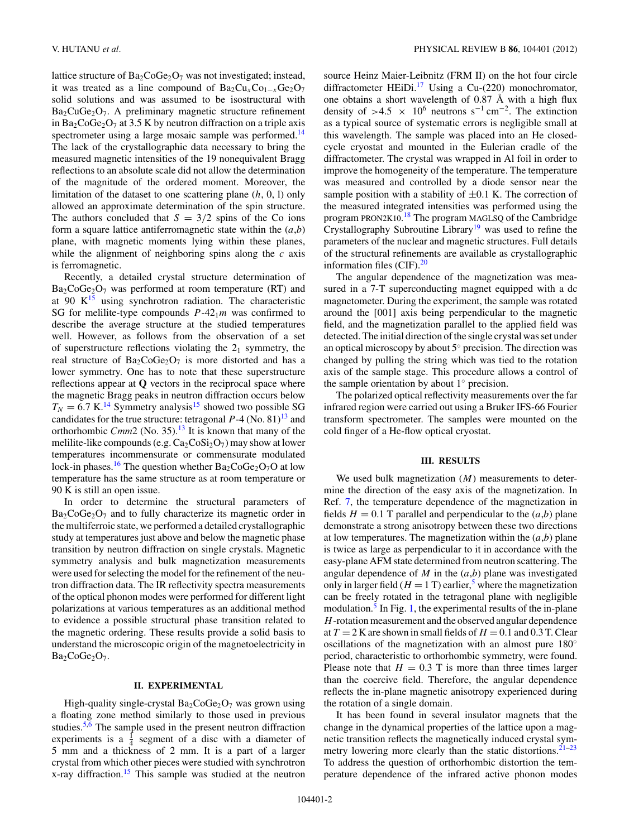lattice structure of  $Ba_2CoGe_2O_7$  was not investigated; instead, it was treated as a line compound of  $Ba_2Cu_xCo_{1-x}Ge_2O_7$ solid solutions and was assumed to be isostructural with  $Ba<sub>2</sub>CuGe<sub>2</sub>O<sub>7</sub>$ . A preliminary magnetic structure refinement in Ba<sub>2</sub>CoGe<sub>2</sub>O<sub>7</sub> at 3.5 K by neutron diffraction on a triple axis spectrometer using a large mosaic sample was performed.<sup>14</sup> The lack of the crystallographic data necessary to bring the measured magnetic intensities of the 19 nonequivalent Bragg reflections to an absolute scale did not allow the determination of the magnitude of the ordered moment. Moreover, the limitation of the dataset to one scattering plane (*h*, 0, l) only allowed an approximate determination of the spin structure. The authors concluded that  $S = 3/2$  spins of the Co ions form a square lattice antiferromagnetic state within the (*a*,*b*) plane, with magnetic moments lying within these planes, while the alignment of neighboring spins along the *c* axis is ferromagnetic.

Recently, a detailed crystal structure determination of  $Ba_2CoGe_2O_7$  was performed at room temperature (RT) and at 90  $K^{15}$  using synchrotron radiation. The characteristic SG for melilite-type compounds  $P-42<sub>1</sub>m$  was confirmed to describe the average structure at the studied temperatures well. However, as follows from the observation of a set of superstructure reflections violating the  $2<sub>1</sub>$  symmetry, the real structure of  $Ba_2CoGe_2O_7$  is more distorted and has a lower symmetry. One has to note that these superstructure reflections appear at **Q** vectors in the reciprocal space where the magnetic Bragg peaks in neutron diffraction occurs below  $T_N = 6.7$  K.<sup>[14](#page-5-0)</sup> Symmetry analysis<sup>15</sup> showed two possible SG candidates for the true structure: tetragonal  $P-4$  (No. 81)<sup>13</sup> and orthorhombic *Cmm*2 (No. 35).<sup>13</sup> It is known that many of the melilite-like compounds (e.g.  $Ca_2CoSi_2O_7$ ) may show at lower temperatures incommensurate or commensurate modulated lock-in phases.<sup>16</sup> The question whether  $Ba_2CoGe_2O_7O$  at low temperature has the same structure as at room temperature or 90 K is still an open issue.

In order to determine the structural parameters of  $Ba<sub>2</sub>CoGe<sub>2</sub>O<sub>7</sub>$  and to fully characterize its magnetic order in the multiferroic state, we performed a detailed crystallographic study at temperatures just above and below the magnetic phase transition by neutron diffraction on single crystals. Magnetic symmetry analysis and bulk magnetization measurements were used for selecting the model for the refinement of the neutron diffraction data. The IR reflectivity spectra measurements of the optical phonon modes were performed for different light polarizations at various temperatures as an additional method to evidence a possible structural phase transition related to the magnetic ordering. These results provide a solid basis to understand the microscopic origin of the magnetoelectricity in  $Ba<sub>2</sub>CoGe<sub>2</sub>O<sub>7</sub>$ .

#### **II. EXPERIMENTAL**

High-quality single-crystal  $Ba_2CoGe_2O_7$  was grown using a floating zone method similarly to those used in previous studies.<sup>[5,6](#page-5-0)</sup> The sample used in the present neutron diffraction experiments is a  $\frac{1}{4}$  segment of a disc with a diameter of 5 mm and a thickness of 2 mm. It is a part of a larger crystal from which other pieces were studied with synchrotron x-ray diffraction.[15](#page-5-0) This sample was studied at the neutron source Heinz Maier-Leibnitz (FRM II) on the hot four circle diffractometer HEiDi.<sup>17</sup> Using a Cu-(220) monochromator, one obtains a short wavelength of  $0.87 \text{ Å}$  with a high flux density of  $>4.5$  × 10<sup>6</sup> neutrons s<sup>-1</sup> cm<sup>-2</sup>. The extinction as a typical source of systematic errors is negligible small at this wavelength. The sample was placed into an He closedcycle cryostat and mounted in the Eulerian cradle of the diffractometer. The crystal was wrapped in Al foil in order to improve the homogeneity of the temperature. The temperature was measured and controlled by a diode sensor near the sample position with a stability of  $\pm 0.1$  K. The correction of the measured integrated intensities was performed using the program PRON2K10.<sup>[18](#page-5-0)</sup> The program MAGLSQ of the Cambridge Crystallography Subroutine Library<sup>19</sup> was used to refine the parameters of the nuclear and magnetic structures. Full details of the structural refinements are available as crystallographic information files  $(CIF).^{20}$ 

The angular dependence of the magnetization was measured in a 7-T superconducting magnet equipped with a dc magnetometer. During the experiment, the sample was rotated around the [001] axis being perpendicular to the magnetic field, and the magnetization parallel to the applied field was detected. The initial direction of the single crystal was set under an optical microscopy by about 5◦ precision. The direction was changed by pulling the string which was tied to the rotation axis of the sample stage. This procedure allows a control of the sample orientation by about  $1<sup>°</sup>$  precision.

The polarized optical reflectivity measurements over the far infrared region were carried out using a Bruker IFS-66 Fourier transform spectrometer. The samples were mounted on the cold finger of a He-flow optical cryostat.

#### **III. RESULTS**

We used bulk magnetization (*M*) measurements to determine the direction of the easy axis of the magnetization. In Ref. [7,](#page-5-0) the temperature dependence of the magnetization in fields  $H = 0.1$  T parallel and perpendicular to the  $(a,b)$  plane demonstrate a strong anisotropy between these two directions at low temperatures. The magnetization within the  $(a,b)$  plane is twice as large as perpendicular to it in accordance with the easy-plane AFM state determined from neutron scattering. The angular dependence of *M* in the (*a*,*b*) plane was investigated only in larger field ( $H = 1$  T) earlier,<sup>[5](#page-5-0)</sup> where the magnetization can be freely rotated in the tetragonal plane with negligible modulation. $<sup>5</sup>$  $<sup>5</sup>$  $<sup>5</sup>$  In Fig. [1,](#page-2-0) the experimental results of the in-plane</sup> *H*-rotation measurement and the observed angular dependence at  $T = 2$  K are shown in small fields of  $H = 0.1$  and 0.3 T. Clear oscillations of the magnetization with an almost pure 180◦ period, characteristic to orthorhombic symmetry, were found. Please note that  $H = 0.3$  T is more than three times larger than the coercive field. Therefore, the angular dependence reflects the in-plane magnetic anisotropy experienced during the rotation of a single domain.

It has been found in several insulator magnets that the change in the dynamical properties of the lattice upon a magnetic transition reflects the magnetically induced crystal symmetry lowering more clearly than the static distortions. $21-23$ To address the question of orthorhombic distortion the temperature dependence of the infrared active phonon modes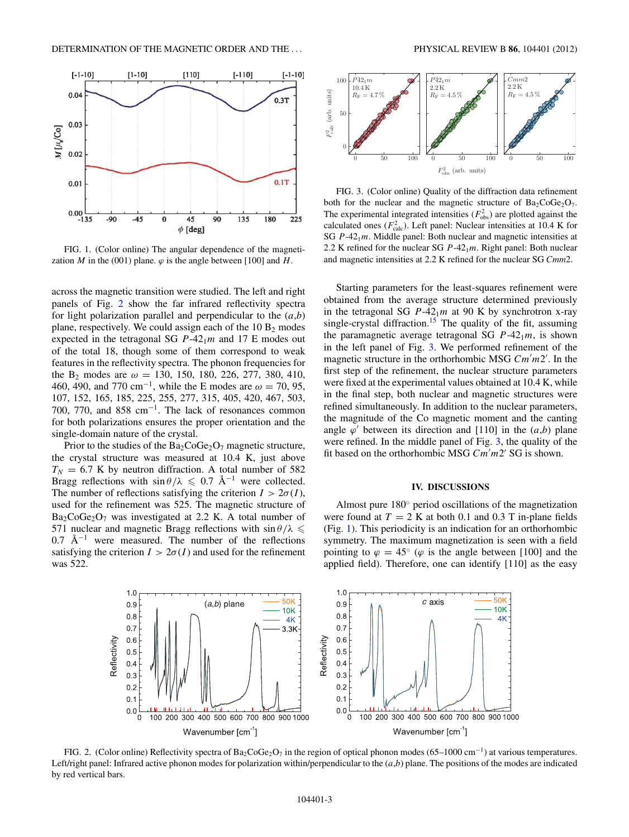<span id="page-2-0"></span>

FIG. 1. (Color online) The angular dependence of the magnetization *M* in the (001) plane.  $\varphi$  is the angle between [100] and *H*.

across the magnetic transition were studied. The left and right panels of Fig. 2 show the far infrared reflectivity spectra for light polarization parallel and perpendicular to the  $(a,b)$ plane, respectively. We could assign each of the  $10 B<sub>2</sub>$  modes expected in the tetragonal SG  $P-42<sub>1</sub>m$  and 17 E modes out of the total 18, though some of them correspond to weak features in the reflectivity spectra. The phonon frequencies for the B2 modes are *ω* = 130, 150, 180, 226, 277, 380, 410, 460, 490, and 770 cm−1, while the E modes are *<sup>ω</sup>* <sup>=</sup> 70, 95, 107, 152, 165, 185, 225, 255, 277, 315, 405, 420, 467, 503, 700, 770, and 858 cm<sup>-1</sup>. The lack of resonances common for both polarizations ensures the proper orientation and the single-domain nature of the crystal.

Prior to the studies of the  $Ba_2CoGe_2O_7$  magnetic structure, the crystal structure was measured at 10.4 K, just above  $T_N$  = 6.7 K by neutron diffraction. A total number of 582 Bragg reflections with  $\sin \theta / \lambda \leq 0.7$  Å<sup>-1</sup> were collected. The number of reflections satisfying the criterion  $I > 2\sigma(I)$ , used for the refinement was 525. The magnetic structure of  $Ba<sub>2</sub>CoGe<sub>2</sub>O<sub>7</sub>$  was investigated at 2.2 K. A total number of 571 nuclear and magnetic Bragg reflections with  $\sin \theta / \lambda \leq$ 0.7  $\rm \AA^{-1}$  were measured. The number of the reflections satisfying the criterion  $I > 2\sigma(I)$  and used for the refinement was 522.



FIG. 3. (Color online) Quality of the diffraction data refinement both for the nuclear and the magnetic structure of  $Ba<sub>2</sub>CoGe<sub>2</sub>O<sub>7</sub>$ . The experimental integrated intensities  $(F_{obs}^2)$  are plotted against the calculated ones  $(F_{\text{calc}}^2)$ . Left panel: Nuclear intensities at 10.4 K for SG *P*-421*m*. Middle panel: Both nuclear and magnetic intensities at 2.2 K refined for the nuclear SG  $P-42<sub>1</sub>m$ . Right panel: Both nuclear and magnetic intensities at 2.2 K refined for the nuclear SG *Cmm*2.

Starting parameters for the least-squares refinement were obtained from the average structure determined previously in the tetragonal SG  $P-42<sub>1</sub>m$  at 90 K by synchrotron x-ray single-crystal diffraction.<sup>15</sup> The quality of the fit, assuming the paramagnetic average tetragonal SG  $P-42<sub>1</sub>m$ , is shown in the left panel of Fig. 3. We performed refinement of the magnetic structure in the orthorhombic MSG *Cm m*2 . In the first step of the refinement, the nuclear structure parameters were fixed at the experimental values obtained at 10.4 K, while in the final step, both nuclear and magnetic structures were refined simultaneously. In addition to the nuclear parameters, the magnitude of the Co magnetic moment and the canting angle  $\varphi'$  between its direction and [110] in the  $(a,b)$  plane were refined. In the middle panel of Fig. 3, the quality of the fit based on the orthorhombic MSG *Cm m*2 SG is shown.

## **IV. DISCUSSIONS**

Almost pure 180◦ period oscillations of the magnetization were found at  $T = 2$  K at both 0.1 and 0.3 T in-plane fields (Fig. 1). This periodicity is an indication for an orthorhombic symmetry. The maximum magnetization is seen with a field pointing to  $\varphi = 45^{\circ}$  ( $\varphi$  is the angle between [100] and the applied field). Therefore, one can identify [110] as the easy



FIG. 2. (Color online) Reflectivity spectra of Ba<sub>2</sub>CoGe<sub>2</sub>O<sub>7</sub> in the region of optical phonon modes (65–1000 cm<sup>-1</sup>) at various temperatures. Left/right panel: Infrared active phonon modes for polarization within/perpendicular to the  $(a,b)$  plane. The positions of the modes are indicated by red vertical bars.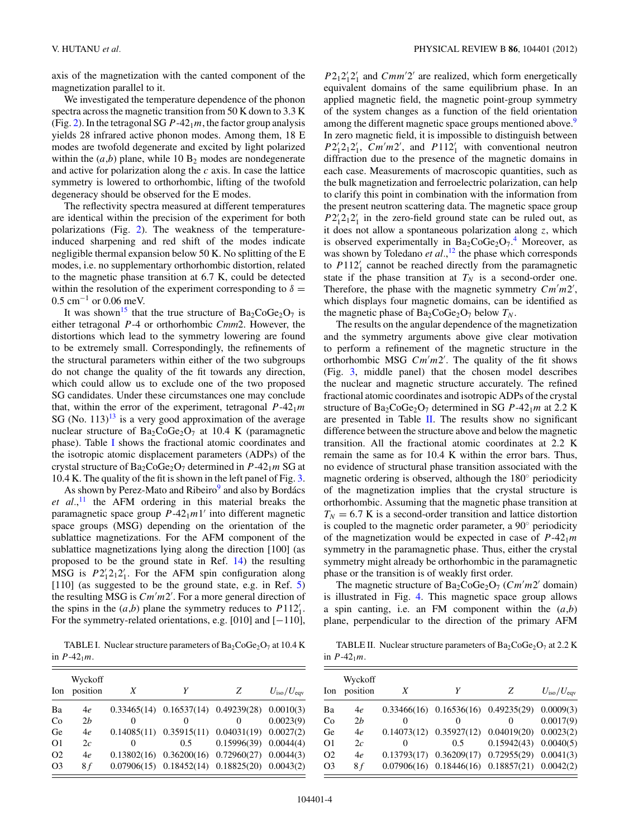axis of the magnetization with the canted component of the magnetization parallel to it.

We investigated the temperature dependence of the phonon spectra across the magnetic transition from 50 K down to 3.3 K (Fig. [2\)](#page-2-0). In the tetragonal SG  $P-42<sub>1</sub>m$ , the factor group analysis yields 28 infrared active phonon modes. Among them, 18 E modes are twofold degenerate and excited by light polarized within the  $(a,b)$  plane, while 10  $B_2$  modes are nondegenerate and active for polarization along the *c* axis. In case the lattice symmetry is lowered to orthorhombic, lifting of the twofold degeneracy should be observed for the E modes.

The reflectivity spectra measured at different temperatures are identical within the precision of the experiment for both polarizations (Fig. [2\)](#page-2-0). The weakness of the temperatureinduced sharpening and red shift of the modes indicate negligible thermal expansion below 50 K. No splitting of the E modes, i.e. no supplementary orthorhombic distortion, related to the magnetic phase transition at 6.7 K, could be detected within the resolution of the experiment corresponding to  $\delta =$ 0.5 cm−<sup>1</sup> or 0.06 meV.

It was shown<sup>15</sup> that the true structure of  $Ba_2CoGe_2O_7$  is either tetragonal *P*-4 or orthorhombic *Cmm*2. However, the distortions which lead to the symmetry lowering are found to be extremely small. Correspondingly, the refinements of the structural parameters within either of the two subgroups do not change the quality of the fit towards any direction, which could allow us to exclude one of the two proposed SG candidates. Under these circumstances one may conclude that, within the error of the experiment, tetragonal  $P-42<sub>1</sub>m$ SG (No.  $113$  $113$ )<sup>13</sup> is a very good approximation of the average nuclear structure of  $Ba_2CoGe_2O_7$  at 10.4 K (paramagnetic phase). Table I shows the fractional atomic coordinates and the isotropic atomic displacement parameters (ADPs) of the crystal structure of Ba<sub>2</sub>CoGe<sub>2</sub>O<sub>7</sub> determined in *P*-42<sub>1</sub>*m* SG at 10.4 K. The quality of the fit is shown in the left panel of Fig. [3.](#page-2-0)

As shown by Perez-Mato and Ribeiro<sup>9</sup> and also by Bordács *et al.*, [11](#page-5-0) the AFM ordering in this material breaks the paramagnetic space group  $P-42<sub>1</sub>m1'$  into different magnetic space groups (MSG) depending on the orientation of the sublattice magnetizations. For the AFM component of the sublattice magnetizations lying along the direction [100] (as proposed to be the ground state in Ref. [14\)](#page-5-0) the resulting MSG is  $P2_1'2_12_1'$ . For the AFM spin configuration along [110] (as suggested to be the ground state, e.g. in Ref. [5\)](#page-5-0) the resulting MSG is *Cm m*2 . For a more general direction of the spins in the  $(a,b)$  plane the symmetry reduces to  $P112'_{1}$ . For the symmetry-related orientations, e.g. [010] and [−110],

TABLE I. Nuclear structure parameters of  $Ba_2CoGe_2O_7$  at 10.4 K in  $P-42_1m$ .

| Ion            | Wyckoff<br>position | X            |                                                       | Z                           | $U_{\rm iso}/U_{\rm eav}$ |
|----------------|---------------------|--------------|-------------------------------------------------------|-----------------------------|---------------------------|
| Ba             | 4e                  |              | $0.33465(14)$ $0.16537(14)$ $0.49239(28)$             |                             | 0.0010(3)                 |
| Co             | 2h                  | $\theta$     | $\theta$                                              | $\theta$                    | 0.0023(9)                 |
| Ge             | 4e                  |              | $0.14085(11)$ $0.35915(11)$ $0.04031(19)$             |                             | 0.0027(2)                 |
| O <sub>1</sub> | 2c                  | $\mathbf{0}$ | 0.5                                                   | 0.15996(39)                 | 0.0044(4)                 |
| O <sub>2</sub> | 4e                  | 0.13802(16)  |                                                       | $0.36200(16)$ $0.72960(27)$ | 0.0044(3)                 |
| O <sub>3</sub> | 8 f                 |              | $0.07906(15)$ $0.18452(14)$ $0.18825(20)$ $0.0043(2)$ |                             |                           |

 $P2_12_12_1$  and *Cmm'2'* are realized, which form energetically equivalent domains of the same equilibrium phase. In an applied magnetic field, the magnetic point-group symmetry of the system changes as a function of the field orientation among the different magnetic space groups mentioned above.<sup>9</sup> In zero magnetic field, it is impossible to distinguish between  $P2_1^{\prime}2_12_1^{\prime}$ , *Cm'm2'*, and  $P112_1^{\prime}$  with conventional neutron diffraction due to the presence of the magnetic domains in each case. Measurements of macroscopic quantities, such as the bulk magnetization and ferroelectric polarization, can help to clarify this point in combination with the information from the present neutron scattering data. The magnetic space group  $P2_1'2_12_1'$  in the zero-field ground state can be ruled out, as it does not allow a spontaneous polarization along *z*, which is observed experimentally in  $Ba_2CoGe_2O_7$ .<sup>[4](#page-5-0)</sup> Moreover, as was shown by Toledano *et al.*,<sup>[12](#page-5-0)</sup> the phase which corresponds to *P*112 <sup>1</sup> cannot be reached directly from the paramagnetic state if the phase transition at  $T_N$  is a second-order one. Therefore, the phase with the magnetic symmetry  $Cm'm2'$ , which displays four magnetic domains, can be identified as the magnetic phase of  $Ba_2CoGe_2O_7$  below  $T_N$ .

The results on the angular dependence of the magnetization and the symmetry arguments above give clear motivation to perform a refinement of the magnetic structure in the orthorhombic MSG *Cm m*2 . The quality of the fit shows (Fig. [3,](#page-2-0) middle panel) that the chosen model describes the nuclear and magnetic structure accurately. The refined fractional atomic coordinates and isotropic ADPs of the crystal structure of  $Ba_2CoGe_2O_7$  determined in SG  $P-42_1m$  at 2.2 K are presented in Table II. The results show no significant difference between the structure above and below the magnetic transition. All the fractional atomic coordinates at 2.2 K remain the same as for 10.4 K within the error bars. Thus, no evidence of structural phase transition associated with the magnetic ordering is observed, although the 180◦ periodicity of the magnetization implies that the crystal structure is orthorhombic. Assuming that the magnetic phase transition at  $T_N = 6.7$  K is a second-order transition and lattice distortion is coupled to the magnetic order parameter, a 90◦ periodicity of the magnetization would be expected in case of  $P-42<sub>1</sub>m$ symmetry in the paramagnetic phase. Thus, either the crystal symmetry might already be orthorhombic in the paramagnetic phase or the transition is of weakly first order.

The magnetic structure of  $Ba_2CoGe_2O_7$  (*Cm'm2'* domain) is illustrated in Fig. [4.](#page-4-0) This magnetic space group allows a spin canting, i.e. an FM component within the (*a*,*b*) plane, perpendicular to the direction of the primary AFM

TABLE II. Nuclear structure parameters of  $Ba_2CoGe_2O_7$  at 2.2 K in  $P-42_1m$ .

| Ion            | Wyckoff<br>position | X        | Y        | Z                                                     | $U_{\rm iso}/U_{\rm env}$ |
|----------------|---------------------|----------|----------|-------------------------------------------------------|---------------------------|
| Ba             | 4e                  |          |          | $0.33466(16)$ $0.16536(16)$ $0.49235(29)$ $0.0009(3)$ |                           |
| Co             | 2h                  | 0        | $\theta$ | 0                                                     | 0.0017(9)                 |
| Ge             | 4e                  |          |          | $0.14073(12)$ $0.35927(12)$ $0.04019(20)$ $0.0023(2)$ |                           |
| O <sub>1</sub> | 2c                  | $\theta$ | $0.5 -$  | $0.15942(43)$ $0.0040(5)$                             |                           |
| O <sub>2</sub> | 4e                  |          |          | $0.13793(17)$ $0.36209(17)$ $0.72955(29)$ $0.0041(3)$ |                           |
| O <sub>3</sub> | 8 f                 |          |          | $0.07906(16)$ $0.18446(16)$ $0.18857(21)$ $0.0042(2)$ |                           |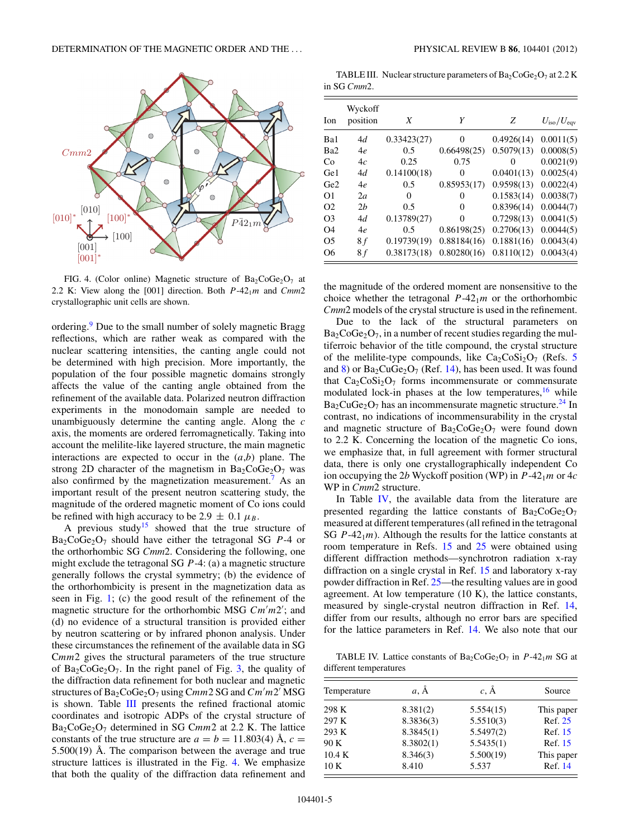<span id="page-4-0"></span>

FIG. 4. (Color online) Magnetic structure of  $Ba_2CoGe_2O_7$  at 2.2 K: View along the [001] direction. Both  $P-42<sub>1</sub>m$  and  $Cmm2$ crystallographic unit cells are shown.

ordering.[9](#page-5-0) Due to the small number of solely magnetic Bragg reflections, which are rather weak as compared with the nuclear scattering intensities, the canting angle could not be determined with high precision. More importantly, the population of the four possible magnetic domains strongly affects the value of the canting angle obtained from the refinement of the available data. Polarized neutron diffraction experiments in the monodomain sample are needed to unambiguously determine the canting angle. Along the *c* axis, the moments are ordered ferromagnetically. Taking into account the melilite-like layered structure, the main magnetic interactions are expected to occur in the (*a*,*b*) plane. The strong 2D character of the magnetism in  $Ba_2CoGe_2O_7$  was also confirmed by the magnetization measurement.<sup>[7](#page-5-0)</sup> As an important result of the present neutron scattering study, the magnitude of the ordered magnetic moment of Co ions could be refined with high accuracy to be 2.9  $\pm$  0.1  $\mu_B$ .

A previous study<sup>15</sup> showed that the true structure of  $Ba<sub>2</sub>CoGe<sub>2</sub>O<sub>7</sub>$  should have either the tetragonal SG *P*-4 or the orthorhombic SG *Cmm*2. Considering the following, one might exclude the tetragonal SG *P*-4: (a) a magnetic structure generally follows the crystal symmetry; (b) the evidence of the orthorhombicity is present in the magnetization data as seen in Fig. [1;](#page-2-0) (c) the good result of the refinement of the magnetic structure for the orthorhombic MSG *Cm m*2 ; and (d) no evidence of a structural transition is provided either by neutron scattering or by infrared phonon analysis. Under these circumstances the refinement of the available data in SG C*mm*2 gives the structural parameters of the true structure of  $Ba_2CoGe_2O_7$ . In the right panel of Fig. [3,](#page-2-0) the quality of the diffraction data refinement for both nuclear and magnetic structures of Ba2CoGe2O7 using C*mm*2 SG and *Cm m*2 MSG is shown. Table III presents the refined fractional atomic coordinates and isotropic ADPs of the crystal structure of Ba<sub>2</sub>CoGe<sub>2</sub>O<sub>7</sub> determined in SG Cmm2 at 2.2 K. The lattice constants of the true structure are  $a = b = 11.803(4)$  Å,  $c =$  $5.500(19)$  Å. The comparison between the average and true structure lattices is illustrated in the Fig. 4. We emphasize that both the quality of the diffraction data refinement and

TABLE III. Nuclear structure parameters of  $Ba_2CoGe_2O_7$  at 2.2 K in SG *Cmm*2.

| Ion             | Wyckoff<br>position | X           | Y           | Z          | $U_{\rm iso}/U_{\rm eqv}$ |
|-----------------|---------------------|-------------|-------------|------------|---------------------------|
| Ba1             | 4d                  | 0.33423(27) | $\Omega$    | 0.4926(14) | 0.0011(5)                 |
| Ba2             | 4e                  | 0.5         | 0.66498(25) | 0.5079(13) | 0.0008(5)                 |
| Co              | 4c                  | 0.25        | 0.75        | 0          | 0.0021(9)                 |
| Ge <sub>1</sub> | 4d                  | 0.14100(18) | $\Omega$    | 0.0401(13) | 0.0025(4)                 |
| Ge2             | 4e                  | 0.5         | 0.85953(17) | 0.9598(13) | 0.0022(4)                 |
| O1              | 2a                  | 0           | 0           | 0.1583(14) | 0.0038(7)                 |
| O <sub>2</sub>  | 2h                  | 0.5         | 0           | 0.8396(14) | 0.0044(7)                 |
| O <sub>3</sub>  | 4d                  | 0.13789(27) | $\Omega$    | 0.7298(13) | 0.0041(5)                 |
| O4              | 4e                  | 0.5         | 0.86198(25) | 0.2706(13) | 0.0044(5)                 |
| O5              | 8f                  | 0.19739(19) | 0.88184(16) | 0.1881(16) | 0.0043(4)                 |
| O6              | 8 f                 | 0.38173(18) | 0.80280(16) | 0.8110(12) | 0.0043(4)                 |

the magnitude of the ordered moment are nonsensitive to the choice whether the tetragonal  $P-42<sub>1</sub>m$  or the orthorhombic *Cmm*2 models of the crystal structure is used in the refinement.

Due to the lack of the structural parameters on  $Ba_2CoGe_2O_7$ , in a number of recent studies regarding the multiferroic behavior of the title compound, the crystal structure of the melilite-type compounds, like  $Ca_2CoSi_2O_7$  (Refs. [5](#page-5-0)) and [8\)](#page-5-0) or  $Ba_2CuGe_2O_7$  (Ref. [14\)](#page-5-0), has been used. It was found that  $Ca_2CoSi_2O_7$  forms incommensurate or commensurate modulated lock-in phases at the low temperatures,  $\frac{16}{16}$  $\frac{16}{16}$  $\frac{16}{16}$  while  $Ba<sub>2</sub>CuGe<sub>2</sub>O<sub>7</sub>$  has an incommensurate magnetic structure.<sup>[24](#page-5-0)</sup> In contrast, no indications of incommensurability in the crystal and magnetic structure of  $Ba_2CoGe_2O_7$  were found down to 2.2 K. Concerning the location of the magnetic Co ions, we emphasize that, in full agreement with former structural data, there is only one crystallographically independent Co ion occupying the 2*b* Wyckoff position (WP) in *P*-421*m* or 4*c* WP in *Cmm*2 structure.

In Table IV, the available data from the literature are presented regarding the lattice constants of  $Ba<sub>2</sub>CoGe<sub>2</sub>O<sub>7</sub>$ measured at different temperatures (all refined in the tetragonal SG  $P-42<sub>1</sub>m$ ). Although the results for the lattice constants at room temperature in Refs. [15](#page-5-0) and [25](#page-5-0) were obtained using different diffraction methods—synchrotron radiation x-ray diffraction on a single crystal in Ref. [15](#page-5-0) and laboratory x-ray powder diffraction in Ref. [25—](#page-5-0)the resulting values are in good agreement. At low temperature (10 K), the lattice constants, measured by single-crystal neutron diffraction in Ref. [14,](#page-5-0) differ from our results, although no error bars are specified for the lattice parameters in Ref. [14.](#page-5-0) We also note that our

TABLE IV. Lattice constants of  $Ba_2CoGe_2O_7$  in  $P-42_1m$  SG at different temperatures

| Temperature | $a, \AA$  | $c, \AA$  | Source     |
|-------------|-----------|-----------|------------|
| 298 K       | 8.381(2)  | 5.554(15) | This paper |
| 297 K       | 8.3836(3) | 5.5510(3) | Ref. 25    |
| 293 K       | 8.3845(1) | 5.5497(2) | Ref. 15    |
| 90 K        | 8.3802(1) | 5.5435(1) | Ref. 15    |
| 10.4 K      | 8.346(3)  | 5.500(19) | This paper |
| 10K         | 8.410     | 5.537     | Ref. 14    |